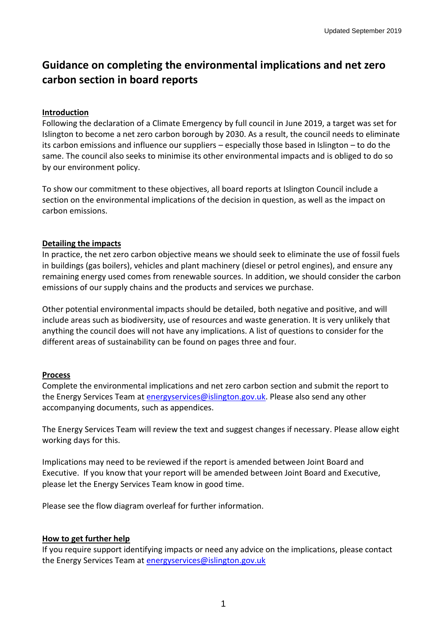# **Guidance on completing the environmental implications and net zero carbon section in board reports**

#### **Introduction**

Following the declaration of a Climate Emergency by full council in June 2019, a target was set for Islington to become a net zero carbon borough by 2030. As a result, the council needs to eliminate its carbon emissions and influence our suppliers – especially those based in Islington – to do the same. The council also seeks to minimise its other environmental impacts and is obliged to do so by our environment policy.

To show our commitment to these objectives, all board reports at Islington Council include a section on the environmental implications of the decision in question, as well as the impact on carbon emissions.

#### **Detailing the impacts**

In practice, the net zero carbon objective means we should seek to eliminate the use of fossil fuels in buildings (gas boilers), vehicles and plant machinery (diesel or petrol engines), and ensure any remaining energy used comes from renewable sources. In addition, we should consider the carbon emissions of our supply chains and the products and services we purchase.

Other potential environmental impacts should be detailed, both negative and positive, and will include areas such as biodiversity, use of resources and waste generation. It is very unlikely that anything the council does will not have any implications. A list of questions to consider for the different areas of sustainability can be found on pages three and four.

#### **Process**

Complete the environmental implications and net zero carbon section and submit the report to the Energy Services Team at [energyservices@islington.gov.uk.](mailto:energyservices@islington.gov.uk) Please also send any other accompanying documents, such as appendices.

The Energy Services Team will review the text and suggest changes if necessary. Please allow eight working days for this.

Implications may need to be reviewed if the report is amended between Joint Board and Executive. If you know that your report will be amended between Joint Board and Executive, please let the Energy Services Team know in good time.

Please see the flow diagram overleaf for further information.

### **How to get further help**

If you require support identifying impacts or need any advice on the implications, please contact the Energy Services Team at [energyservices@islington.gov.uk](mailto:energyservices@islington.gov.uk)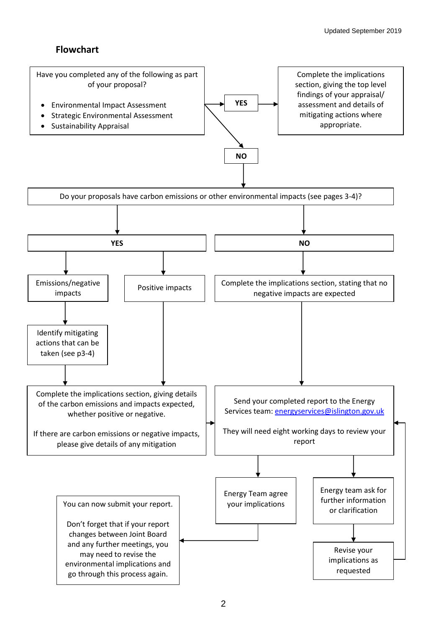## **Flowchart**

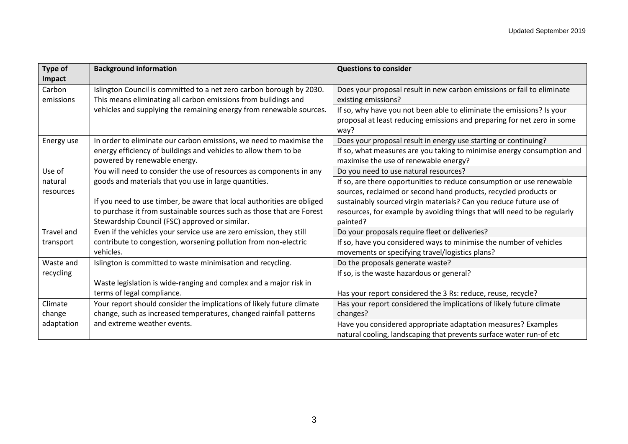| <b>Type of</b><br>Impact | <b>Background information</b>                                                                                                          | <b>Questions to consider</b>                                                                                                                             |
|--------------------------|----------------------------------------------------------------------------------------------------------------------------------------|----------------------------------------------------------------------------------------------------------------------------------------------------------|
| Carbon<br>emissions      | Islington Council is committed to a net zero carbon borough by 2030.<br>This means eliminating all carbon emissions from buildings and | Does your proposal result in new carbon emissions or fail to eliminate<br>existing emissions?                                                            |
|                          | vehicles and supplying the remaining energy from renewable sources.                                                                    | If so, why have you not been able to eliminate the emissions? Is your<br>proposal at least reducing emissions and preparing for net zero in some<br>way? |
| Energy use               | In order to eliminate our carbon emissions, we need to maximise the                                                                    | Does your proposal result in energy use starting or continuing?                                                                                          |
|                          | energy efficiency of buildings and vehicles to allow them to be                                                                        | If so, what measures are you taking to minimise energy consumption and                                                                                   |
|                          | powered by renewable energy.                                                                                                           | maximise the use of renewable energy?                                                                                                                    |
| Use of                   | You will need to consider the use of resources as components in any                                                                    | Do you need to use natural resources?                                                                                                                    |
| natural                  | goods and materials that you use in large quantities.                                                                                  | If so, are there opportunities to reduce consumption or use renewable                                                                                    |
| resources                |                                                                                                                                        | sources, reclaimed or second hand products, recycled products or                                                                                         |
|                          | If you need to use timber, be aware that local authorities are obliged                                                                 | sustainably sourced virgin materials? Can you reduce future use of                                                                                       |
|                          | to purchase it from sustainable sources such as those that are Forest                                                                  | resources, for example by avoiding things that will need to be regularly                                                                                 |
|                          | Stewardship Council (FSC) approved or similar.                                                                                         | painted?                                                                                                                                                 |
| Travel and               | Even if the vehicles your service use are zero emission, they still                                                                    | Do your proposals require fleet or deliveries?                                                                                                           |
| transport                | contribute to congestion, worsening pollution from non-electric                                                                        | If so, have you considered ways to minimise the number of vehicles                                                                                       |
|                          | vehicles.                                                                                                                              | movements or specifying travel/logistics plans?                                                                                                          |
| Waste and                | Islington is committed to waste minimisation and recycling.                                                                            | Do the proposals generate waste?                                                                                                                         |
| recycling                |                                                                                                                                        | If so, is the waste hazardous or general?                                                                                                                |
|                          | Waste legislation is wide-ranging and complex and a major risk in                                                                      |                                                                                                                                                          |
|                          | terms of legal compliance.                                                                                                             | Has your report considered the 3 Rs: reduce, reuse, recycle?                                                                                             |
| Climate                  | Your report should consider the implications of likely future climate                                                                  | Has your report considered the implications of likely future climate                                                                                     |
| change                   | change, such as increased temperatures, changed rainfall patterns                                                                      | changes?                                                                                                                                                 |
| adaptation               | and extreme weather events.                                                                                                            | Have you considered appropriate adaptation measures? Examples                                                                                            |
|                          |                                                                                                                                        | natural cooling, landscaping that prevents surface water run-of etc                                                                                      |